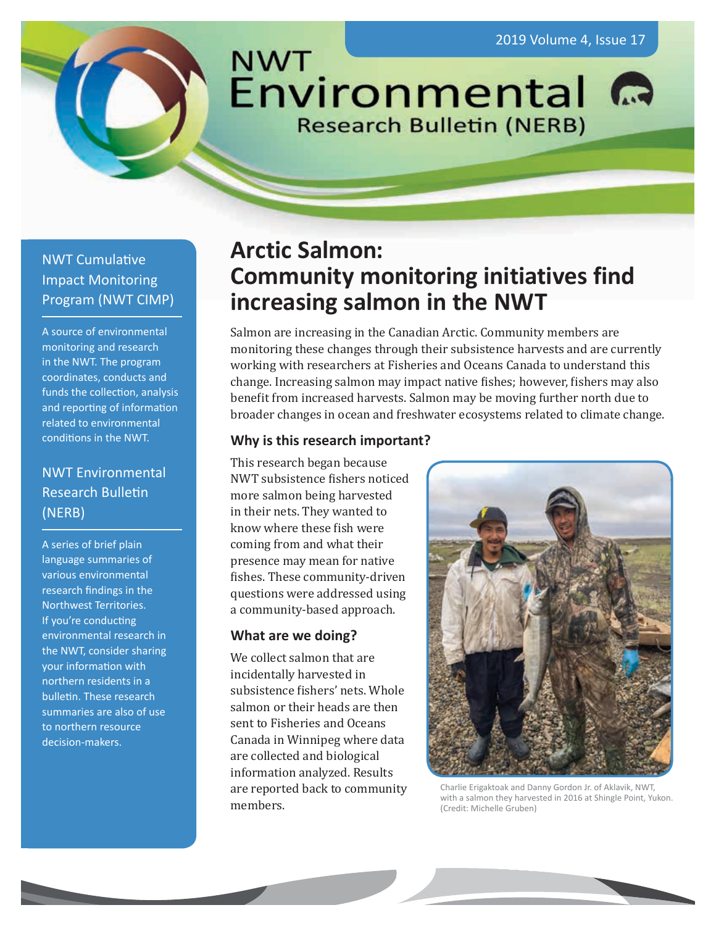**NWT** Environmental **Research Bulletin (NERB)** 

# NWT Cumulative Impact Monitoring Program (NWT CIMP)

A source of environmental monitoring and research in the NWT. The program coordinates, conducts and funds the collection, analysis and reporting of information related to environmental conditions in the NWT.

# NWT Environmental Research Bulletin (NERB)

A series of brief plain language summaries of various environmental research findings in the Northwest Territories. If you're conducting environmental research in the NWT, consider sharing your information with northern residents in a bulletin. These research summaries are also of use to northern resource decision-makers.

# **Arctic Salmon: Community monitoring initiatives find increasing salmon in the NWT**

Salmon are increasing in the Canadian Arctic. Community members are monitoring these changes through their subsistence harvests and are currently working with researchers at Fisheries and Oceans Canada to understand this change. Increasing salmon may impact native fishes; however, fishers may also benefit from increased harvests. Salmon may be moving further north due to broader changes in ocean and freshwater ecosystems related to climate change.

#### **Why is this research important?**

This research began because NWT subsistence fishers noticed more salmon being harvested in their nets. They wanted to know where these fish were coming from and what their presence may mean for native fishes. These community-driven questions were addressed using a community-based approach.

## **What are we doing?**

We collect salmon that are incidentally harvested in subsistence fishers' nets. Whole salmon or their heads are then sent to Fisheries and Oceans Canada in Winnipeg where data are collected and biological information analyzed. Results are reported back to community members.



Charlie Erigaktoak and Danny Gordon Jr. of Aklavik, NWT, with a salmon they harvested in 2016 at Shingle Point, Yukon. (Credit: Michelle Gruben)